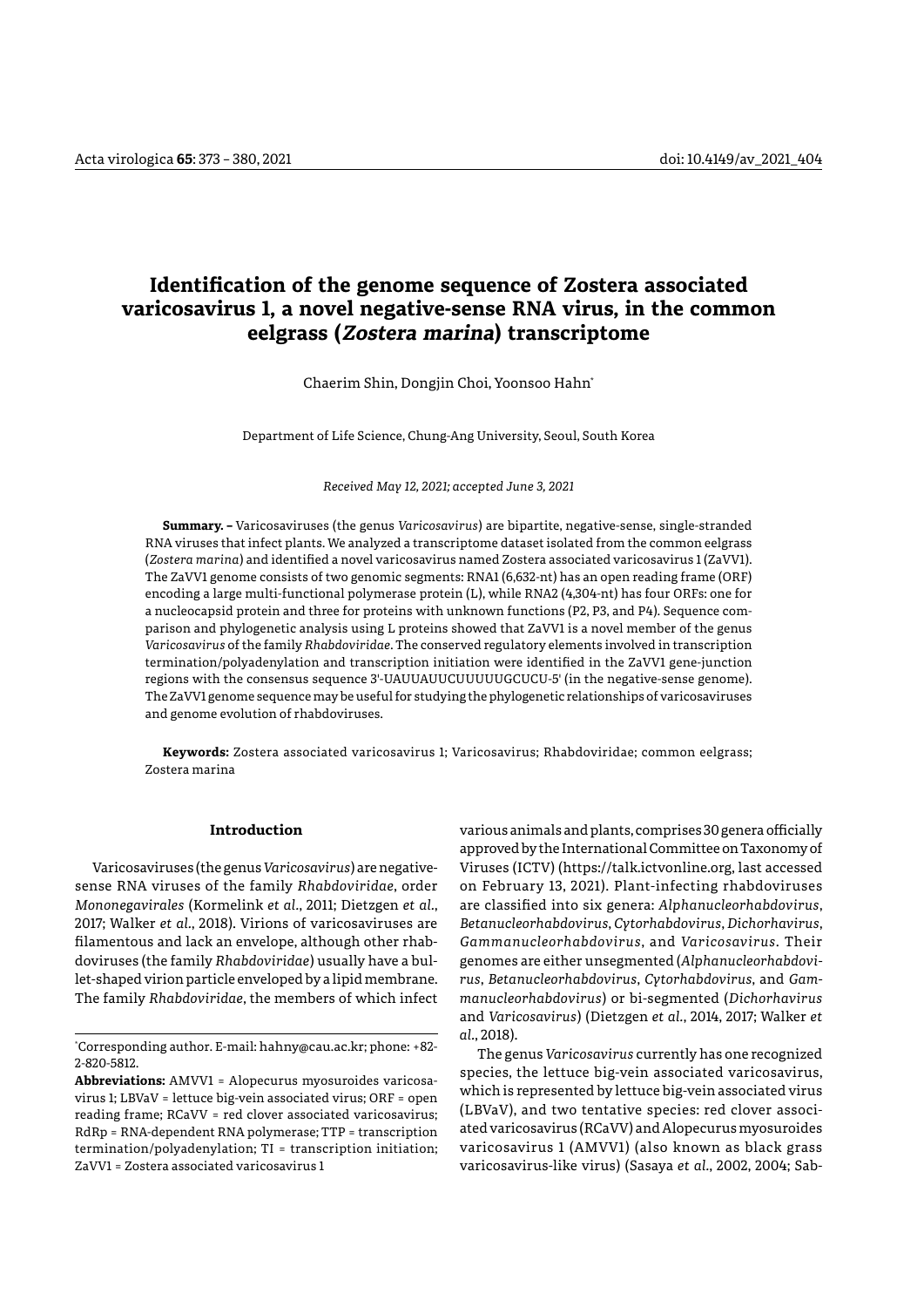# **Identification of the genome sequence of Zostera associated varicosavirus 1, a novel negative-sense RNA virus, in the common eelgrass (Zostera marina) transcriptome**

Chaerim Shin, Dongjin Choi, Yoonsoo Hahn\*

Department of Life Science, Chung-Ang University, Seoul, South Korea

*Received May 12, 2021; accepted June 3, 2021*

**Summary. –** Varicosaviruses (the genus *Varicosavirus*) are bipartite, negative-sense, single-stranded RNA viruses that infect plants. We analyzed a transcriptome dataset isolated from the common eelgrass (*Zostera marina*) and identified a novel varicosavirus named Zostera associated varicosavirus 1 (ZaVV1). The ZaVV1 genome consists of two genomic segments: RNA1 (6,632-nt) has an open reading frame (ORF) encoding a large multi-functional polymerase protein (L), while RNA2 (4,304-nt) has four ORFs: one for a nucleocapsid protein and three for proteins with unknown functions (P2, P3, and P4). Sequence comparison and phylogenetic analysis using L proteins showed that ZaVV1 is a novel member of the genus *Varicosavirus* of the family *Rhabdoviridae*. The conserved regulatory elements involved in transcription termination/polyadenylation and transcription initiation were identified in the ZaVV1 gene-junction regions with the consensus sequence 3'-UAUUAUUCUUUUUGCUCU-5' (in the negative-sense genome). The ZaVV1 genome sequence may be useful for studying the phylogenetic relationships of varicosaviruses and genome evolution of rhabdoviruses.

**Keywords:** Zostera associated varicosavirus 1; Varicosavirus; Rhabdoviridae; common eelgrass; Zostera marina

# **Introduction**

Varicosaviruses (the genus *Varicosavirus*) are negativesense RNA viruses of the family *Rhabdoviridae*, order *Mononegavirales* (Kormelink *et al.*, 2011; Dietzgen *et al.*, 2017; Walker *et al.*, 2018). Virions of varicosaviruses are filamentous and lack an envelope, although other rhabdoviruses (the family *Rhabdoviridae*) usually have a bullet-shaped virion particle enveloped by a lipid membrane. The family *Rhabdoviridae*, the members of which infect

**Abbreviations:** AMVV1 = Alopecurus myosuroides varicosavirus 1; LBVaV = lettuce big-vein associated virus; ORF = open reading frame; RCaVV = red clover associated varicosavirus; RdRp = RNA-dependent RNA polymerase; TTP = transcription termination/polyadenylation; TI = transcription initiation; ZaVV1 = Zostera associated varicosavirus 1

various animals and plants, comprises 30 genera officially approved by the International Committee on Taxonomy of Viruses (ICTV) (https://talk.ictvonline.org, last accessed on February 13, 2021). Plant-infecting rhabdoviruses are classified into six genera: *Alphanucleorhabdovirus*, *Betanucleorhabdovirus*, *Cytorhabdovirus*, *Dichorhavirus*, *Gammanucleorhabdovirus*, and *Varicosavirus*. Their genomes are either unsegmented (*Alphanucleorhabdovirus*, *Betanucleorhabdovirus*, *Cytorhabdovirus*, and *Gammanucleorhabdovirus*) or bi-segmented (*Dichorhavirus*  and *Varicosavirus*) (Dietzgen *et al.*, 2014, 2017; Walker *et al.*, 2018).

The genus *Varicosavirus* currently has one recognized species, the lettuce big-vein associated varicosavirus, which is represented by lettuce big-vein associated virus (LBVaV), and two tentative species: red clover associated varicosavirus (RCaVV) and Alopecurus myosuroides varicosavirus 1 (AMVV1) (also known as black grass varicosavirus-like virus) (Sasaya *et al.*, 2002, 2004; Sab-

<sup>\*</sup> Corresponding author. E-mail: [hahny@cau.ac.kr;](mailto:hahny@cau.ac.kr) phone: +82- 2-820-5812.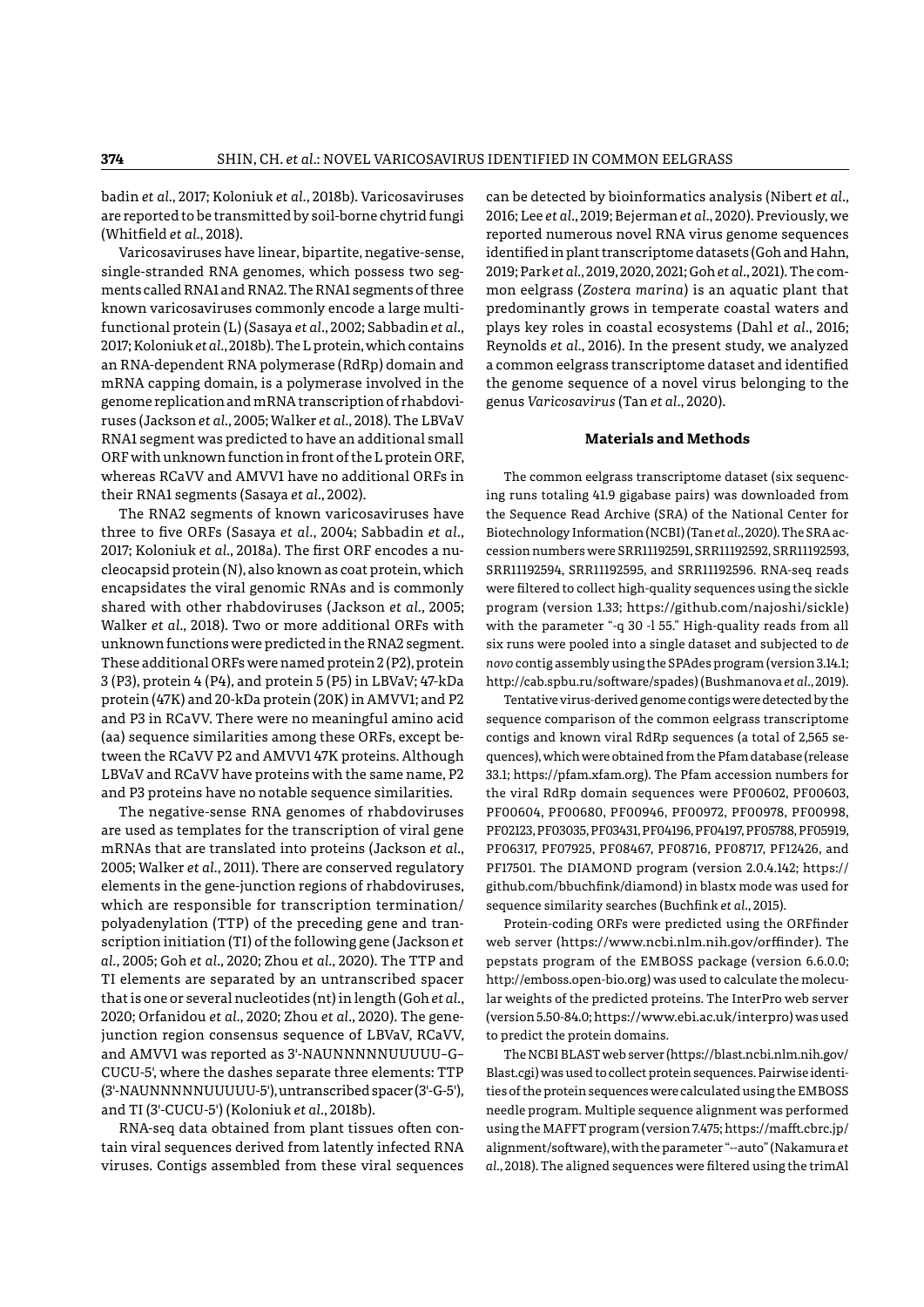badin *et al.*, 2017; Koloniuk *et al.*, 2018b). Varicosaviruses are reported to be transmitted by soil-borne chytrid fungi (Whitfield *et al.*, 2018).

Varicosaviruses have linear, bipartite, negative-sense, single-stranded RNA genomes, which possess two segments called RNA1 and RNA2. The RNA1 segments of three known varicosaviruses commonly encode a large multifunctional protein (L) (Sasaya *et al.*, 2002; Sabbadin *et al.*, 2017; Koloniuk *et al.*, 2018b). The L protein, which contains an RNA-dependent RNA polymerase (RdRp) domain and mRNA capping domain, is a polymerase involved in the genome replication and mRNA transcription of rhabdoviruses (Jackson *et al.*, 2005; Walker *et al.*, 2018). The LBVaV RNA1 segment was predicted to have an additional small ORF with unknown function in front of the L protein ORF, whereas RCaVV and AMVV1 have no additional ORFs in their RNA1 segments (Sasaya *et al.*, 2002).

The RNA2 segments of known varicosaviruses have three to five ORFs (Sasaya *et al.*, 2004; Sabbadin *et al.*, 2017; Koloniuk *et al.*, 2018a). The first ORF encodes a nucleocapsid protein (N), also known as coat protein, which encapsidates the viral genomic RNAs and is commonly shared with other rhabdoviruses (Jackson *et al.*, 2005; Walker *et al.*, 2018). Two or more additional ORFs with unknown functions were predicted in the RNA2 segment. These additional ORFs were named protein 2 (P2), protein 3 (P3), protein 4 (P4), and protein 5 (P5) in LBVaV; 47-kDa protein (47K) and 20-kDa protein (20K) in AMVV1; and P2 and P3 in RCaVV. There were no meaningful amino acid (aa) sequence similarities among these ORFs, except between the RCaVV P2 and AMVV1 47K proteins. Although LBVaV and RCaVV have proteins with the same name, P2 and P3 proteins have no notable sequence similarities.

The negative-sense RNA genomes of rhabdoviruses are used as templates for the transcription of viral gene mRNAs that are translated into proteins (Jackson *et al.*, 2005; Walker *et al.*, 2011). There are conserved regulatory elements in the gene-junction regions of rhabdoviruses, which are responsible for transcription termination/ polyadenylation (TTP) of the preceding gene and transcription initiation (TI) of the following gene (Jackson *et al.*, 2005; Goh *et al.*, 2020; Zhou *et al.*, 2020). The TTP and TI elements are separated by an untranscribed spacer that is one or several nucleotides (nt) in length (Goh *et al.*, 2020; Orfanidou *et al.*, 2020; Zhou *et al.*, 2020). The genejunction region consensus sequence of LBVaV, RCaVV, and AMVV1 was reported as 3'-NAUNNNNNUUUUU–G– CUCU-5', where the dashes separate three elements: TTP (3'-NAUNNNNNUUUUU-5'), untranscribed spacer (3'-G-5'), and TI (3'-CUCU-5') (Koloniuk *et al.*, 2018b).

RNA-seq data obtained from plant tissues often contain viral sequences derived from latently infected RNA viruses. Contigs assembled from these viral sequences

can be detected by bioinformatics analysis (Nibert *et al.*, 2016; Lee *et al.*, 2019; Bejerman *et al.*, 2020). Previously, we reported numerous novel RNA virus genome sequences identified in plant transcriptome datasets (Goh and Hahn, 2019; Park *et al.*, 2019, 2020, 2021; Goh *et al.*, 2021). The common eelgrass (*Zostera marina*) is an aquatic plant that predominantly grows in temperate coastal waters and plays key roles in coastal ecosystems (Dahl *et al.*, 2016; Reynolds *et al.*, 2016). In the present study, we analyzed a common eelgrass transcriptome dataset and identified the genome sequence of a novel virus belonging to the genus *Varicosavirus* (Tan *et al.*, 2020).

### **Materials and Methods**

The common eelgrass transcriptome dataset (six sequencing runs totaling 41.9 gigabase pairs) was downloaded from the Sequence Read Archive (SRA) of the National Center for Biotechnology Information (NCBI) (Tan *et al.*, 2020). The SRA accession numbers were SRR11192591, SRR11192592, SRR11192593, SRR11192594, SRR11192595, and SRR11192596. RNA-seq reads were filtered to collect high-quality sequences using the sickle program (version 1.33; https://github.com/najoshi/sickle) with the parameter "-q 30 -l 55." High-quality reads from all six runs were pooled into a single dataset and subjected to *de novo* contig assembly using the SPAdes program (version 3.14.1; http://cab.spbu.ru/software/spades) (Bushmanova *et al.*, 2019).

Tentative virus-derived genome contigs were detected by the sequence comparison of the common eelgrass transcriptome contigs and known viral RdRp sequences (a total of 2,565 sequences), which were obtained from the Pfam database (release 33.1; https://pfam.xfam.org). The Pfam accession numbers for the viral RdRp domain sequences were PF00602, PF00603, PF00604, PF00680, PF00946, PF00972, PF00978, PF00998, PF02123, PF03035, PF03431, PF04196, PF04197, PF05788, PF05919, PF06317, PF07925, PF08467, PF08716, PF08717, PF12426, and PF17501. The DIAMOND program (version 2.0.4.142; https:// github.com/bbuchfink/diamond) in blastx mode was used for sequence similarity searches (Buchfink *et al.*, 2015).

Protein-coding ORFs were predicted using the ORFfinder web server (https://www.ncbi.nlm.nih.gov/orffinder). The pepstats program of the EMBOSS package (version 6.6.0.0; http://emboss.open-bio.org) was used to calculate the molecular weights of the predicted proteins. The InterPro web server (version 5.50-84.0; https://www.ebi.ac.uk/interpro) was used to predict the protein domains.

The NCBI BLAST web server (https://blast.ncbi.nlm.nih.gov/ Blast.cgi) was used to collect protein sequences. Pairwise identities of the protein sequences were calculated using the EMBOSS needle program. Multiple sequence alignment was performed using the MAFFT program (version 7.475; https://mafft.cbrc.jp/ alignment/software), with the parameter "--auto" (Nakamura *et al.*, 2018). The aligned sequences were filtered using the trimAl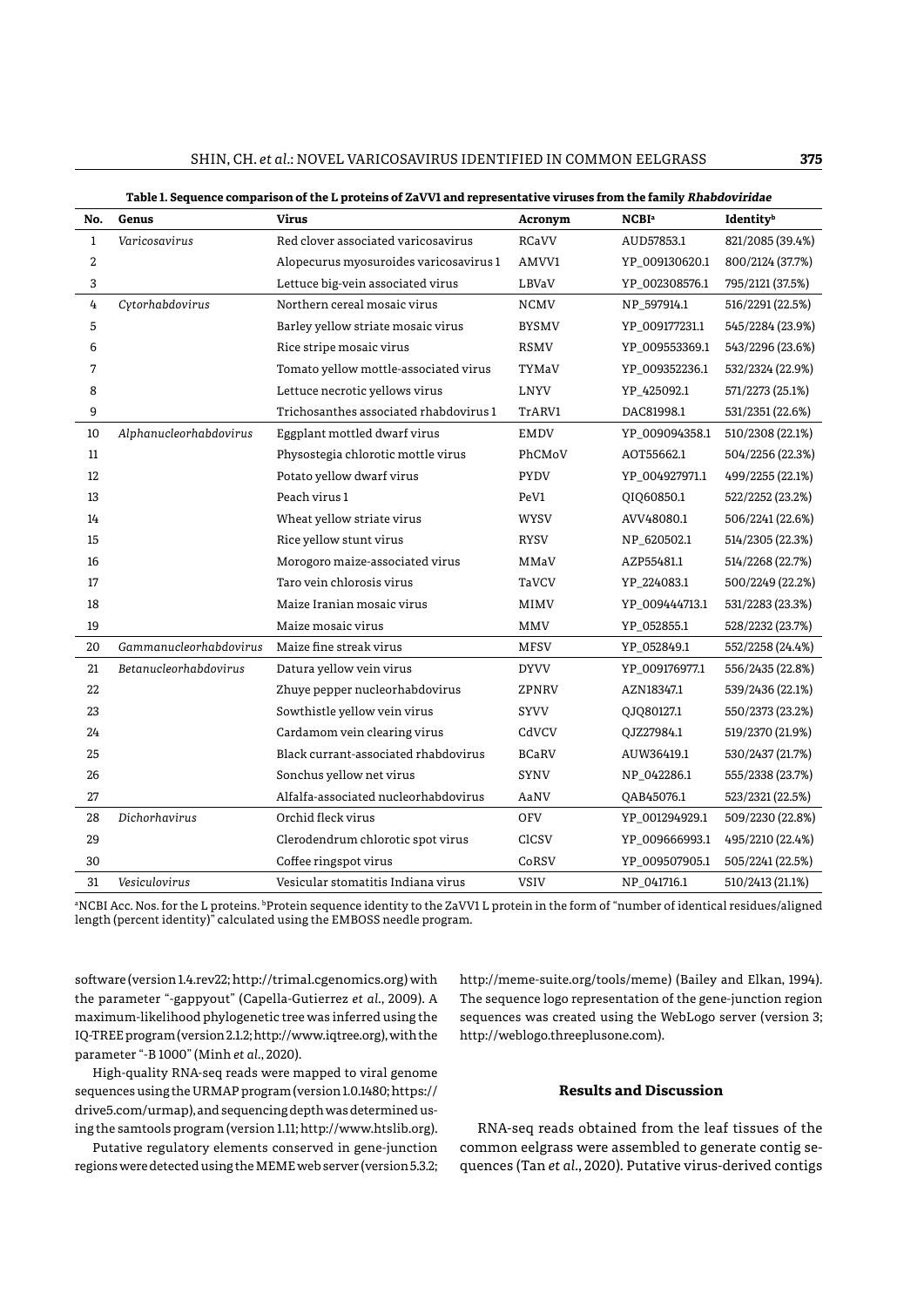| ŕ |  |  |
|---|--|--|
|   |  |  |

| No.          | Genus                  | <b>Virus</b>                           | Acronym      | <b>NCBI</b> <sup>a</sup> | Identityb        |
|--------------|------------------------|----------------------------------------|--------------|--------------------------|------------------|
| $\mathbf{1}$ | Varicosavirus          | Red clover associated varicosavirus    | RCaVV        | AUD57853.1               | 821/2085 (39.4%) |
| 2            |                        | Alopecurus myosuroides varicosavirus 1 | AMVV1        | YP_009130620.1           | 800/2124 (37.7%) |
| 3            |                        | Lettuce big-vein associated virus      | LBVaV        | YP_002308576.1           | 795/2121 (37.5%) |
| 4            | Cytorhabdovirus        | Northern cereal mosaic virus           | <b>NCMV</b>  | NP_597914.1              | 516/2291 (22.5%) |
| 5            |                        | Barley yellow striate mosaic virus     | <b>BYSMV</b> | YP_009177231.1           | 545/2284 (23.9%) |
| 6            |                        | Rice stripe mosaic virus               | RSMV         | YP_009553369.1           | 543/2296 (23.6%) |
| 7            |                        | Tomato yellow mottle-associated virus  | TYMaV        | YP 009352236.1           | 532/2324 (22.9%) |
| 8            |                        | Lettuce necrotic yellows virus         | LNYV         | YP_425092.1              | 571/2273 (25.1%) |
| 9            |                        | Trichosanthes associated rhabdovirus 1 | TrARV1       | DAC81998.1               | 531/2351 (22.6%) |
| 10           | Alphanucleorhabdovirus | Eggplant mottled dwarf virus           | <b>EMDV</b>  | YP 009094358.1           | 510/2308 (22.1%) |
| 11           |                        | Physostegia chlorotic mottle virus     | PhCMoV       | AOT55662.1               | 504/2256 (22.3%) |
| 12           |                        | Potato yellow dwarf virus              | <b>PYDV</b>  | YP_004927971.1           | 499/2255 (22.1%) |
| 13           |                        | Peach virus 1                          | PeV1         | QIQ60850.1               | 522/2252 (23.2%) |
| 14           |                        | Wheat yellow striate virus             | <b>WYSV</b>  | AVV48080.1               | 506/2241 (22.6%) |
| 15           |                        | Rice yellow stunt virus                | RYSV         | NP_620502.1              | 514/2305 (22.3%) |
| 16           |                        | Morogoro maize-associated virus        | MMaV         | AZP55481.1               | 514/2268 (22.7%) |
| 17           |                        | Taro vein chlorosis virus              | TaVCV        | YP_224083.1              | 500/2249 (22.2%) |
| 18           |                        | Maize Iranian mosaic virus             | MIMV         | YP 009444713.1           | 531/2283 (23.3%) |
| 19           |                        | Maize mosaic virus                     | <b>MMV</b>   | YP_052855.1              | 528/2232 (23.7%) |
| 20           | Gammanucleorhabdovirus | Maize fine streak virus                | <b>MFSV</b>  | YP_052849.1              | 552/2258 (24.4%) |
| 21           | Betanucleorhabdovirus  | Datura yellow vein virus               | <b>DYVV</b>  | YP 009176977.1           | 556/2435 (22.8%) |
| 22           |                        | Zhuye pepper nucleorhabdovirus         | ZPNRV        | AZN18347.1               | 539/2436 (22.1%) |
| 23           |                        | Sowthistle yellow vein virus           | SYVV         | QJQ80127.1               | 550/2373 (23.2%) |
| 24           |                        | Cardamom vein clearing virus           | CdVCV        | QJZ27984.1               | 519/2370 (21.9%) |
| 25           |                        | Black currant-associated rhabdovirus   | <b>BCaRV</b> | AUW36419.1               | 530/2437 (21.7%) |
| 26           |                        | Sonchus yellow net virus               | SYNV         | NP 042286.1              | 555/2338 (23.7%) |
| 27           |                        | Alfalfa-associated nucleorhabdovirus   | AaNV         | QAB45076.1               | 523/2321 (22.5%) |
| 28           | Dichorhavirus          | Orchid fleck virus                     | <b>OFV</b>   | YP_001294929.1           | 509/2230 (22.8%) |
| 29           |                        | Clerodendrum chlorotic spot virus      | CICSV        | YP 009666993.1           | 495/2210 (22.4%) |
| 30           |                        | Coffee ringspot virus                  | CoRSV        | YP_009507905.1           | 505/2241 (22.5%) |
| 31           | Vesiculovirus          | Vesicular stomatitis Indiana virus     | <b>VSIV</b>  | NP_041716.1              | 510/2413 (21.1%) |

**Table 1. Sequence comparison of the L proteins of ZaVV1 and representative viruses from the family Rhabdoviridae**

a NCBI Acc. Nos. for the L proteins. bProtein sequence identity to the ZaVV1 L protein in the form of "number of identical residues/aligned length (percent identity)" calculated using the EMBOSS needle program.

software (version 1.4.rev22;<http://trimal.cgenomics.org>) with the parameter "-gappyout" (Capella-Gutierrez *et al.*, 2009). A maximum-likelihood phylogenetic tree was inferred using the IQ-TREE program (version 2.1.2; http://www.iqtree.org), with the parameter "-B 1000" (Minh *et al.*, 2020).

High-quality RNA-seq reads were mapped to viral genome sequences using the URMAP program (version 1.0.1480; [https://](https://drive5.com/urmap) [drive5.com/urmap\)](https://drive5.com/urmap), and sequencing depth was determined using the samtools program (version 1.11; http://www.htslib.org).

Putative regulatory elements conserved in gene-junction regions were detected using the MEME web server (version 5.3.2; http://meme-suite.org/tools/meme) (Bailey and Elkan, 1994). The sequence logo representation of the gene-junction region sequences was created using the WebLogo server (version 3; http://weblogo.threeplusone.com).

# **Results and Discussion**

RNA-seq reads obtained from the leaf tissues of the common eelgrass were assembled to generate contig sequences (Tan *et al.*, 2020). Putative virus-derived contigs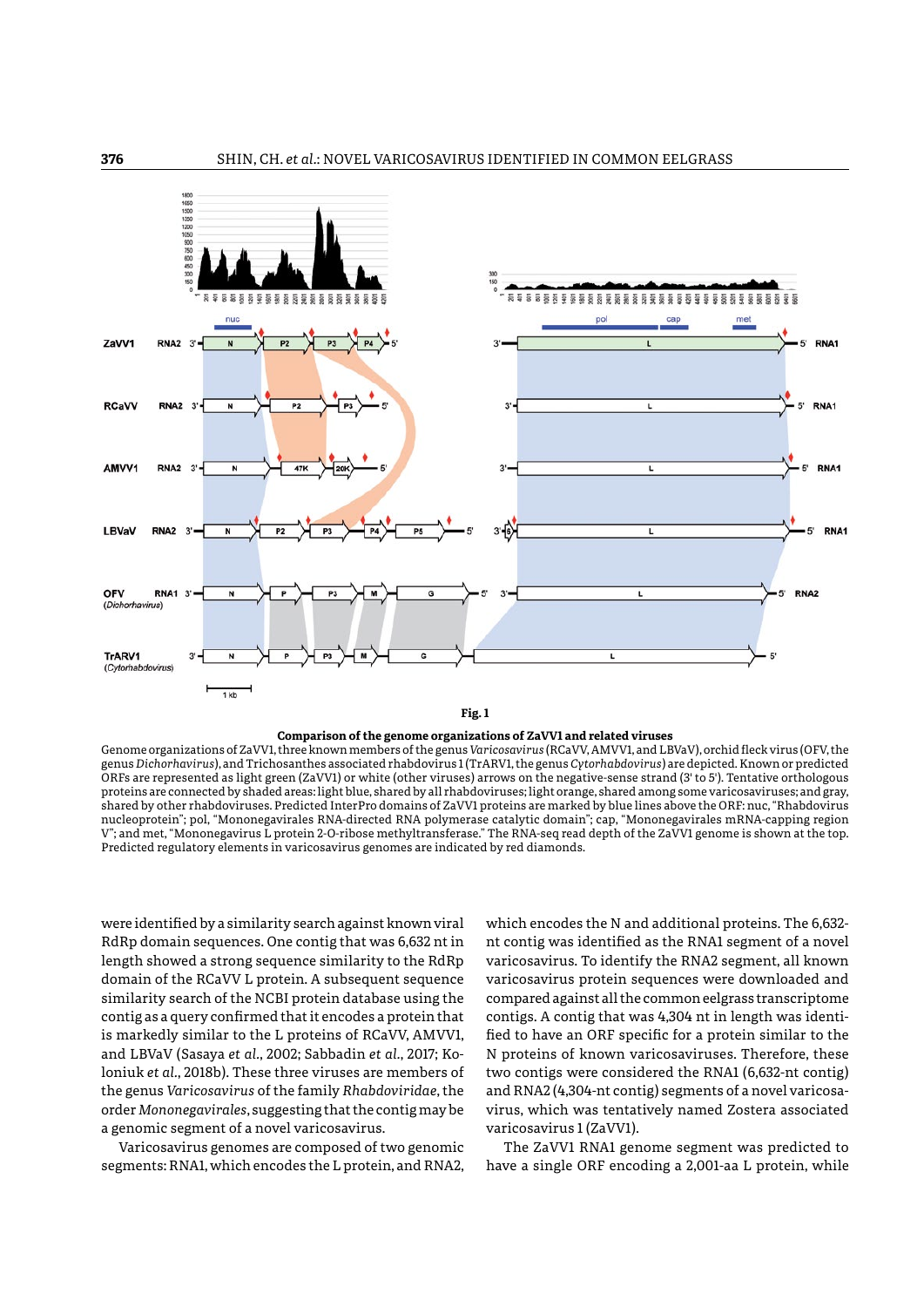

**Comparison of the genome organizations of ZaVV1 and related viruses**

Genome organizations of ZaVV1, three known members of the genus *Varicosavirus* (RCaVV, AMVV1, and LBVaV), orchid fleck virus (OFV, the genus *Dichorhavirus*), and Trichosanthes associated rhabdovirus 1 (TrARV1, the genus *Cytorhabdovirus*) are depicted. Known or predicted ORFs are represented as light green (ZaVV1) or white (other viruses) arrows on the negative-sense strand (3' to 5'). Tentative orthologous proteins are connected by shaded areas: light blue, shared by all rhabdoviruses; light orange, shared among some varicosaviruses; and gray, shared by other rhabdoviruses. Predicted InterPro domains of ZaVV1 proteins are marked by blue lines above the ORF: nuc, "Rhabdovirus nucleoprotein"; pol, "Mononegavirales RNA-directed RNA polymerase catalytic domain"; cap, "Mononegavirales mRNA-capping region V"; and met, "Mononegavirus L protein 2-O-ribose methyltransferase." The RNA-seq read depth of the ZaVV1 genome is shown at the top. Predicted regulatory elements in varicosavirus genomes are indicated by red diamonds.

were identified by a similarity search against known viral RdRp domain sequences. One contig that was 6,632 nt in length showed a strong sequence similarity to the RdRp domain of the RCaVV L protein. A subsequent sequence similarity search of the NCBI protein database using the contig as a query confirmed that it encodes a protein that is markedly similar to the L proteins of RCaVV, AMVV1, and LBVaV (Sasaya *et al.*, 2002; Sabbadin *et al.*, 2017; Koloniuk *et al.*, 2018b). These three viruses are members of the genus *Varicosavirus* of the family *Rhabdoviridae*, the order *Mononegavirales*, suggesting that the contig may be a genomic segment of a novel varicosavirus.

Varicosavirus genomes are composed of two genomic segments: RNA1, which encodes the L protein, and RNA2,

which encodes the N and additional proteins. The 6,632 nt contig was identified as the RNA1 segment of a novel varicosavirus. To identify the RNA2 segment, all known varicosavirus protein sequences were downloaded and compared against all the common eelgrass transcriptome contigs. A contig that was 4,304 nt in length was identified to have an ORF specific for a protein similar to the N proteins of known varicosaviruses. Therefore, these two contigs were considered the RNA1 (6,632-nt contig) and RNA2 (4,304-nt contig) segments of a novel varicosavirus, which was tentatively named Zostera associated varicosavirus 1 (ZaVV1).

The ZaVV1 RNA1 genome segment was predicted to have a single ORF encoding a 2,001-aa L protein, while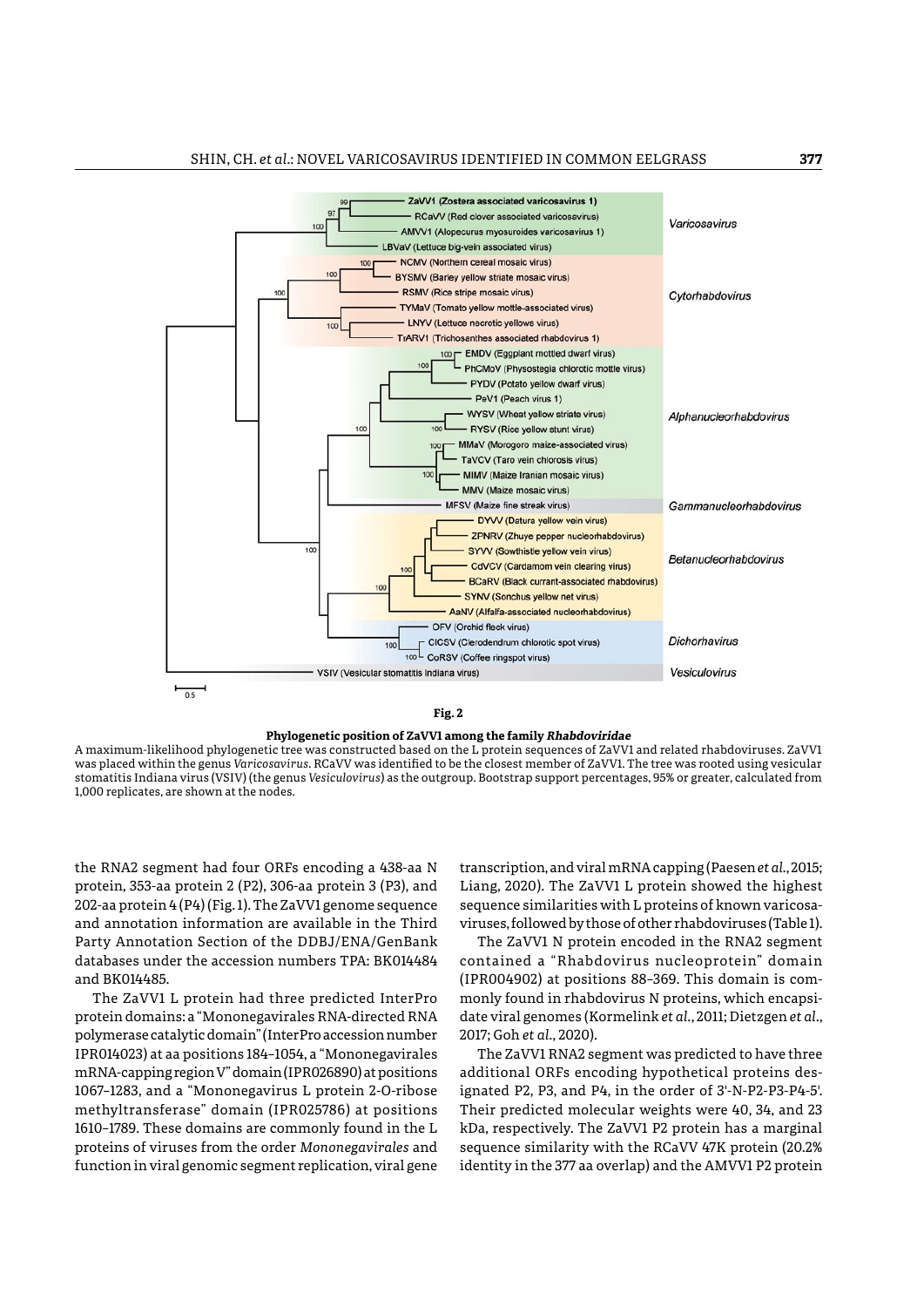

**Fig. 2**



A maximum-likelihood phylogenetic tree was constructed based on the L protein sequences of ZaVV1 and related rhabdoviruses. ZaVV1 was placed within the genus *Varicosavirus*. RCaVV was identified to be the closest member of ZaVV1. The tree was rooted using vesicular stomatitis Indiana virus (VSIV) (the genus *Vesiculovirus*) as the outgroup. Bootstrap support percentages, 95% or greater, calculated from 1,000 replicates, are shown at the nodes.

the RNA2 segment had four ORFs encoding a 438-aa N protein, 353-aa protein 2 (P2), 306-aa protein 3 (P3), and 202-aa protein 4 (P4) (Fig. 1). The ZaVV1 genome sequence and annotation information are available in the Third Party Annotation Section of the DDBJ/ENA/GenBank databases under the accession numbers TPA: BK014484 and BK014485.

The ZaVV1 L protein had three predicted InterPro protein domains: a "Mononegavirales RNA-directed RNA polymerase catalytic domain" (InterPro accession number IPR014023) at aa positions 184–1054, a "Mononegavirales mRNA-capping region V" domain (IPR026890) at positions 1067–1283, and a "Mononegavirus L protein 2-O-ribose methyltransferase" domain (IPR025786) at positions 1610–1789. These domains are commonly found in the L proteins of viruses from the order *Mononegavirales* and function in viral genomic segment replication, viral gene

transcription, and viral mRNA capping (Paesen *et al.*, 2015; Liang, 2020). The ZaVV1 L protein showed the highest sequence similarities with L proteins of known varicosaviruses, followed by those of other rhabdoviruses (Table 1).

The ZaVV1 N protein encoded in the RNA2 segment contained a "Rhabdovirus nucleoprotein" domain (IPR004902) at positions 88–369. This domain is commonly found in rhabdovirus N proteins, which encapsidate viral genomes (Kormelink *et al.*, 2011; Dietzgen *et al.*, 2017; Goh *et al.*, 2020).

The ZaVV1 RNA2 segment was predicted to have three additional ORFs encoding hypothetical proteins designated P2, P3, and P4, in the order of 3'-N-P2-P3-P4-5'. Their predicted molecular weights were 40, 34, and 23 kDa, respectively. The ZaVV1 P2 protein has a marginal sequence similarity with the RCaVV 47K protein (20.2% identity in the 377 aa overlap) and the AMVV1 P2 protein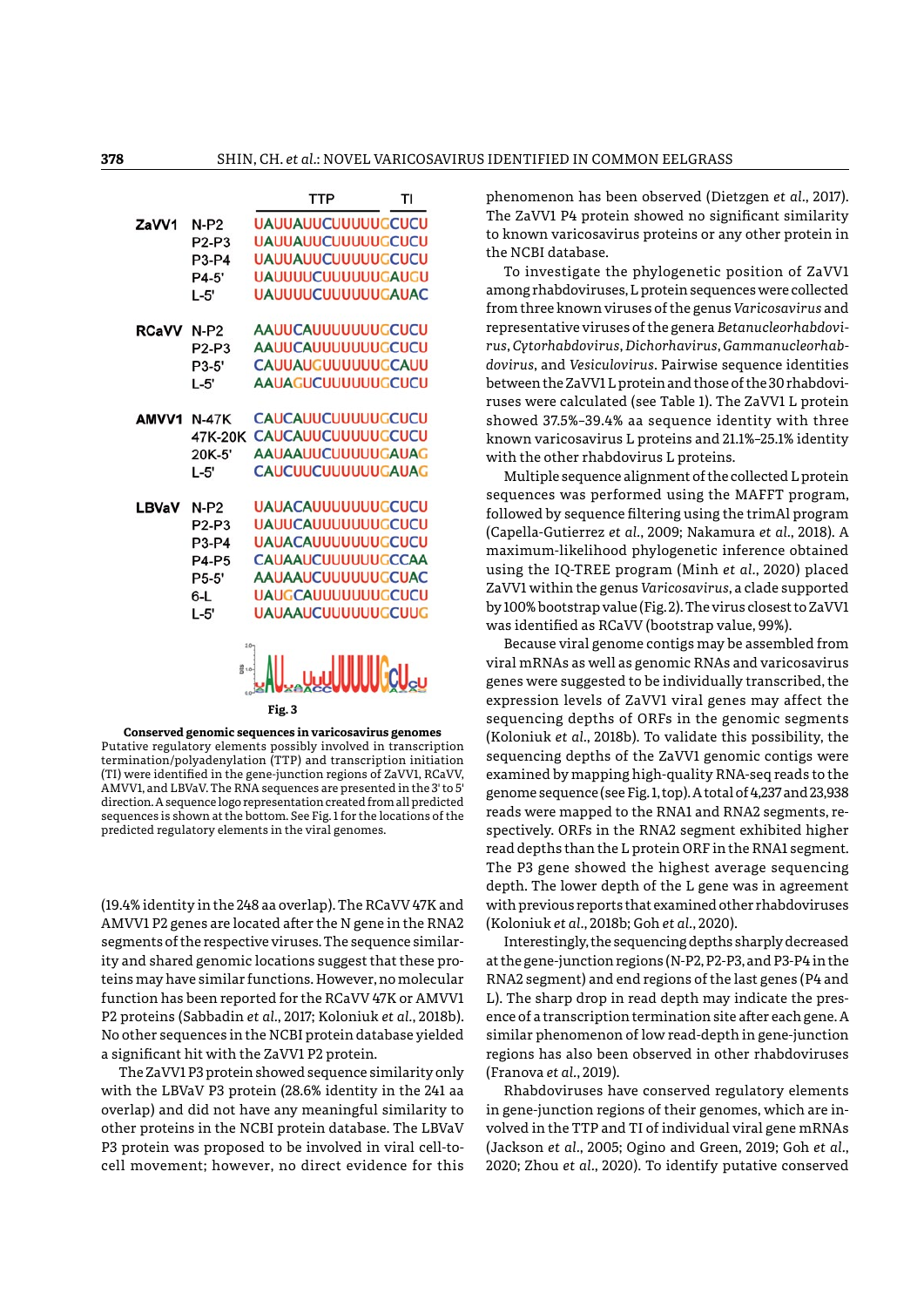

**Conserved genomic sequences in varicosavirus genomes** Putative regulatory elements possibly involved in transcription termination/polyadenylation (TTP) and transcription initiation (TI) were identified in the gene-junction regions of ZaVV1, RCaVV, AMVV1, and LBVaV. The RNA sequences are presented in the 3' to 5' direction. A sequence logo representation created from all predicted sequences is shown at the bottom. See Fig. 1 for the locations of the predicted regulatory elements in the viral genomes.

(19.4% identity in the 248 aa overlap). The RCaVV 47K and AMVV1 P2 genes are located after the N gene in the RNA2 segments of the respective viruses. The sequence similarity and shared genomic locations suggest that these proteins may have similar functions. However, no molecular function has been reported for the RCaVV 47K or AMVV1 P2 proteins (Sabbadin *et al.*, 2017; Koloniuk *et al.*, 2018b). No other sequences in the NCBI protein database yielded a significant hit with the ZaVV1 P2 protein.

The ZaVV1 P3 protein showed sequence similarity only with the LBVaV P3 protein (28.6% identity in the 241 aa overlap) and did not have any meaningful similarity to other proteins in the NCBI protein database. The LBVaV P3 protein was proposed to be involved in viral cell-tocell movement; however, no direct evidence for this phenomenon has been observed (Dietzgen *et al.*, 2017). The ZaVV1 P4 protein showed no significant similarity to known varicosavirus proteins or any other protein in the NCBI database.

To investigate the phylogenetic position of ZaVV1 among rhabdoviruses, L protein sequences were collected from three known viruses of the genus *Varicosavirus* and representative viruses of the genera *Betanucleorhabdovirus*, *Cytorhabdovirus*, *Dichorhavirus*, *Gammanucleorhabdovirus*, and *Vesiculovirus*. Pairwise sequence identities between the ZaVV1 L protein and those of the 30 rhabdoviruses were calculated (see Table 1). The ZaVV1 L protein showed 37.5%–39.4% aa sequence identity with three known varicosavirus L proteins and 21.1%–25.1% identity with the other rhabdovirus L proteins.

Multiple sequence alignment of the collected L protein sequences was performed using the MAFFT program, followed by sequence filtering using the trimAl program (Capella-Gutierrez *et al.*, 2009; Nakamura *et al.*, 2018). A maximum-likelihood phylogenetic inference obtained using the IQ-TREE program (Minh *et al.*, 2020) placed ZaVV1 within the genus *Varicosavirus*, a clade supported by 100% bootstrap value (Fig. 2). The virus closest to ZaVV1 was identified as RCaVV (bootstrap value, 99%).

Because viral genome contigs may be assembled from viral mRNAs as well as genomic RNAs and varicosavirus genes were suggested to be individually transcribed, the expression levels of ZaVV1 viral genes may affect the sequencing depths of ORFs in the genomic segments (Koloniuk *et al.*, 2018b). To validate this possibility, the sequencing depths of the ZaVV1 genomic contigs were examined by mapping high-quality RNA-seq reads to the genome sequence (see Fig. 1, top). A total of 4,237 and 23,938 reads were mapped to the RNA1 and RNA2 segments, respectively. ORFs in the RNA2 segment exhibited higher read depths than the L protein ORF in the RNA1 segment. The P3 gene showed the highest average sequencing depth. The lower depth of the L gene was in agreement with previous reports that examined other rhabdoviruses (Koloniuk *et al.*, 2018b; Goh *et al.*, 2020).

Interestingly, the sequencing depths sharply decreased at the gene-junction regions (N-P2, P2-P3, and P3-P4 in the RNA2 segment) and end regions of the last genes (P4 and L). The sharp drop in read depth may indicate the presence of a transcription termination site after each gene. A similar phenomenon of low read-depth in gene-junction regions has also been observed in other rhabdoviruses (Franova *et al.*, 2019).

Rhabdoviruses have conserved regulatory elements in gene-junction regions of their genomes, which are involved in the TTP and TI of individual viral gene mRNAs (Jackson *et al.*, 2005; Ogino and Green, 2019; Goh *et al.*, 2020; Zhou *et al.*, 2020). To identify putative conserved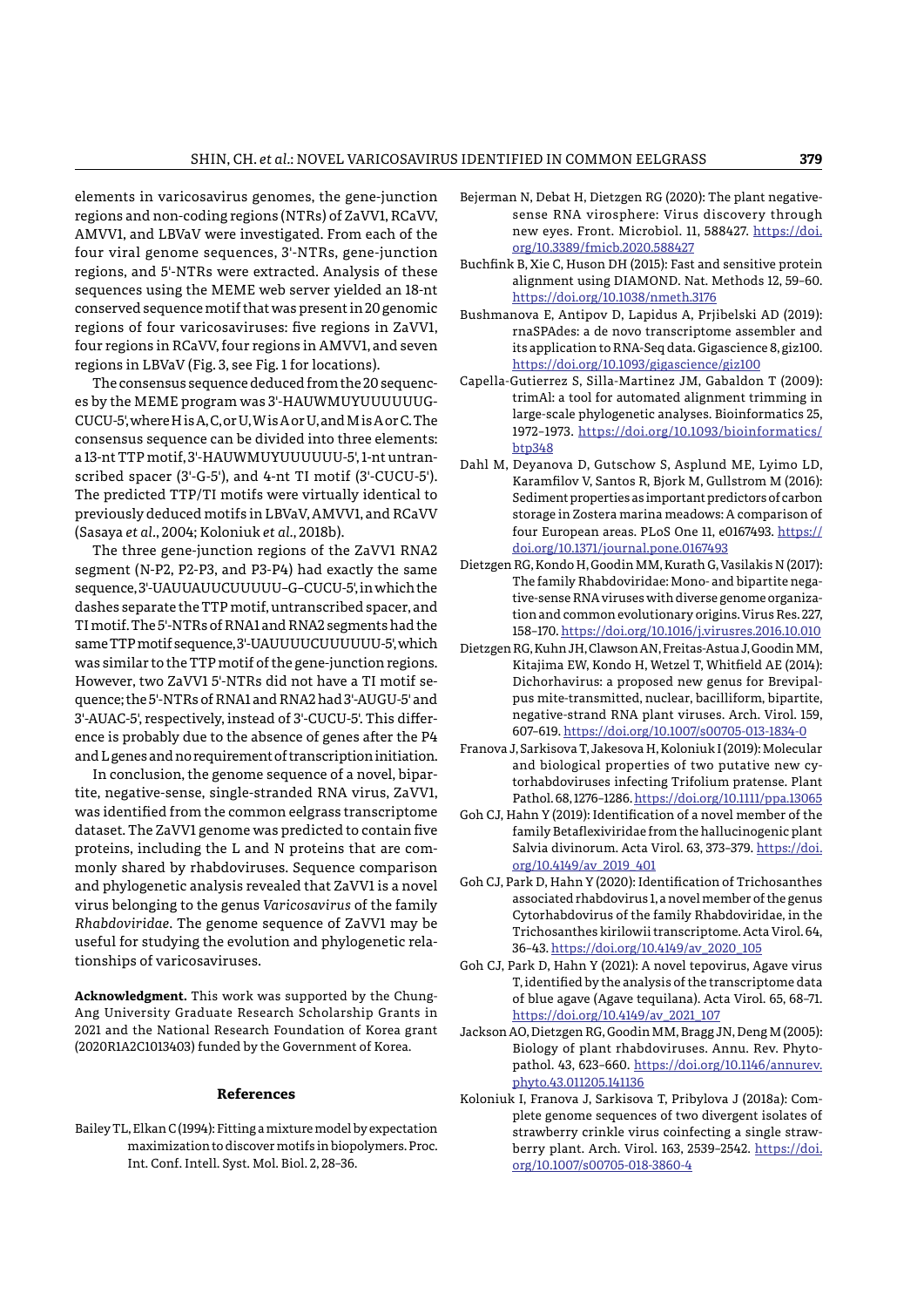elements in varicosavirus genomes, the gene-junction regions and non-coding regions (NTRs) of ZaVV1, RCaVV, AMVV1, and LBVaV were investigated. From each of the four viral genome sequences, 3'-NTRs, gene-junction regions, and 5'-NTRs were extracted. Analysis of these sequences using the MEME web server yielded an 18-nt conserved sequence motif that was present in 20 genomic regions of four varicosaviruses: five regions in ZaVV1, four regions in RCaVV, four regions in AMVV1, and seven regions in LBVaV (Fig. 3, see Fig. 1 for locations).

The consensus sequence deduced from the 20 sequences by the MEME program was 3'-HAUWMUYUUUUUUG-CUCU-5', where H is A, C, or U, W is A or U, and M is A or C. The consensus sequence can be divided into three elements: a 13-nt TTP motif, 3'-HAUWMUYUUUUUU-5', 1-nt untranscribed spacer (3'-G-5'), and 4-nt TI motif (3'-CUCU-5'). The predicted TTP/TI motifs were virtually identical to previously deduced motifs in LBVaV, AMVV1, and RCaVV (Sasaya *et al.*, 2004; Koloniuk *et al.*, 2018b).

The three gene-junction regions of the ZaVV1 RNA2 segment (N-P2, P2-P3, and P3-P4) had exactly the same sequence, 3'-UAUUAUUCUUUUU–G–CUCU-5', in which the dashes separate the TTP motif, untranscribed spacer, and TI motif. The 5'-NTRs of RNA1 and RNA2 segments had the same TTP motif sequence, 3'-UAUUUUCUUUUUU-5', which was similar to the TTP motif of the gene-junction regions. However, two ZaVV1 5'-NTRs did not have a TI motif sequence; the 5'-NTRs of RNA1 and RNA2 had 3'-AUGU-5' and 3'-AUAC-5', respectively, instead of 3'-CUCU-5'. This difference is probably due to the absence of genes after the P4 and L genes and no requirement of transcription initiation.

In conclusion, the genome sequence of a novel, bipartite, negative-sense, single-stranded RNA virus, ZaVV1, was identified from the common eelgrass transcriptome dataset. The ZaVV1 genome was predicted to contain five proteins, including the L and N proteins that are commonly shared by rhabdoviruses. Sequence comparison and phylogenetic analysis revealed that ZaVV1 is a novel virus belonging to the genus *Varicosavirus* of the family *Rhabdoviridae*. The genome sequence of ZaVV1 may be useful for studying the evolution and phylogenetic relationships of varicosaviruses.

**Acknowledgment.** This work was supported by the Chung-Ang University Graduate Research Scholarship Grants in 2021 and the National Research Foundation of Korea grant (2020R1A2C1013403) funded by the Government of Korea.

# **References**

Bailey TL, Elkan C (1994): Fitting a mixture model by expectation maximization to discover motifs in biopolymers. Proc. Int. Conf. Intell. Syst. Mol. Biol. 2, 28–36.

- Bejerman N, Debat H, Dietzgen RG (2020): The plant negativesense RNA virosphere: Virus discovery through new eyes. Front. Microbiol. 11, 588427. [https://doi.](https://doi.org/10.3389/fmicb.2020.588427) [org/10.3389/fmicb.2020.588427](https://doi.org/10.3389/fmicb.2020.588427)
- Buchfink B, Xie C, Huson DH (2015): Fast and sensitive protein alignment using DIAMOND. Nat. Methods 12, 59–60. <https://doi.org/10.1038/nmeth.3176>
- Bushmanova E, Antipov D, Lapidus A, Prjibelski AD (2019): rnaSPAdes: a de novo transcriptome assembler and its application to RNA-Seq data. Gigascience 8, giz100. <https://doi.org/10.1093/gigascience/giz100>
- Capella-Gutierrez S, Silla-Martinez JM, Gabaldon T (2009): trimAl: a tool for automated alignment trimming in large-scale phylogenetic analyses. Bioinformatics 25, 1972–1973. [https://doi.org/10.1093/bioinformatics/](https://doi.org/10.1093/bioinformatics/btp348) [btp348](https://doi.org/10.1093/bioinformatics/btp348)
- Dahl M, Deyanova D, Gutschow S, Asplund ME, Lyimo LD, Karamfilov V, Santos R, Bjork M, Gullstrom M (2016): Sediment properties as important predictors of carbon storage in Zostera marina meadows: A comparison of four European areas. PLoS One 11, e0167493. [https://](https://doi.org/10.1371/journal.pone.0167493) [doi.org/10.1371/journal.pone.0167493](https://doi.org/10.1371/journal.pone.0167493)
- Dietzgen RG, Kondo H, Goodin MM, Kurath G, Vasilakis N (2017): The family Rhabdoviridae: Mono- and bipartite negative-sense RNA viruses with diverse genome organization and common evolutionary origins. Virus Res. 227, 158–170. <https://doi.org/10.1016/j.virusres.2016.10.010>
- Dietzgen RG, Kuhn JH, Clawson AN, Freitas-Astua J, Goodin MM, Kitajima EW, Kondo H, Wetzel T, Whitfield AE (2014): Dichorhavirus: a proposed new genus for Brevipalpus mite-transmitted, nuclear, bacilliform, bipartite, negative-strand RNA plant viruses. Arch. Virol. 159, 607–619.<https://doi.org/10.1007/s00705-013-1834-0>
- Franova J, Sarkisova T, Jakesova H, Koloniuk I (2019): Molecular and biological properties of two putative new cytorhabdoviruses infecting Trifolium pratense. Plant Pathol. 68, 1276–1286.<https://doi.org/10.1111/ppa.13065>
- Goh CJ, Hahn Y (2019): Identification of a novel member of the family Betaflexiviridae from the hallucinogenic plant Salvia divinorum. Acta Virol. 63, 373–379. [https://doi.](https://doi.org/10.4149/av_2019_401) [org/10.4149/av\\_2019\\_401](https://doi.org/10.4149/av_2019_401)
- Goh CJ, Park D, Hahn Y (2020): Identification of Trichosanthes associated rhabdovirus 1, a novel member of the genus Cytorhabdovirus of the family Rhabdoviridae, in the Trichosanthes kirilowii transcriptome. Acta Virol. 64, 36–43. [https://doi.org/10.4149/av\\_2020\\_105](https://doi.org/10.4149/av_2020_105)
- Goh CJ, Park D, Hahn Y (2021): A novel tepovirus, Agave virus T, identified by the analysis of the transcriptome data of blue agave (Agave tequilana). Acta Virol. 65, 68–71. [https://doi.org/10.4149/av\\_2021\\_107](https://doi.org/10.4149/av_2021_107)
- Jackson AO, Dietzgen RG, Goodin MM, Bragg JN, Deng M (2005): Biology of plant rhabdoviruses. Annu. Rev. Phytopathol. 43, 623–660. [https://doi.org/10.1146/annurev.](https://doi.org/10.1146/annurev.phyto.43.011205.141136) [phyto.43.011205.141136](https://doi.org/10.1146/annurev.phyto.43.011205.141136)
- Koloniuk I, Franova J, Sarkisova T, Pribylova J (2018a): Complete genome sequences of two divergent isolates of strawberry crinkle virus coinfecting a single strawberry plant. Arch. Virol. 163, 2539–2542. [https://doi.](https://doi.org/10.1007/s00705-018-3860-4) [org/10.1007/s00705-018-3860-4](https://doi.org/10.1007/s00705-018-3860-4)